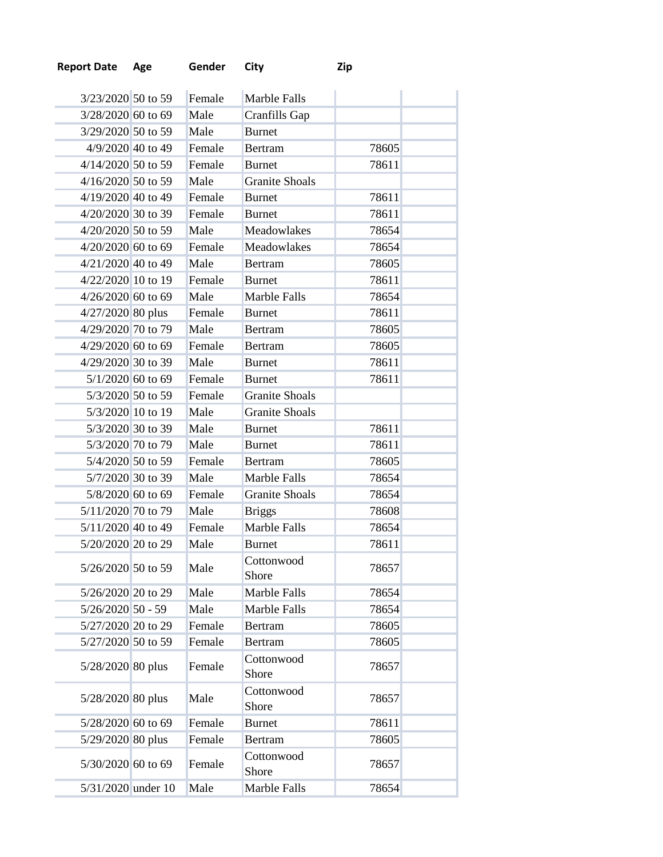| <b>Report Date Age</b><br>Gender City | Zip |
|---------------------------------------|-----|
|---------------------------------------|-----|

| 3/23/2020 50 to 59   | Female | Marble Falls          |       |  |
|----------------------|--------|-----------------------|-------|--|
| 3/28/2020 60 to 69   | Male   | Cranfills Gap         |       |  |
| 3/29/2020 50 to 59   | Male   | <b>Burnet</b>         |       |  |
| 4/9/2020 40 to 49    | Female | <b>Bertram</b>        | 78605 |  |
| 4/14/2020 50 to 59   | Female | <b>Burnet</b>         | 78611 |  |
| 4/16/2020 50 to 59   | Male   | <b>Granite Shoals</b> |       |  |
| 4/19/2020 40 to 49   | Female | <b>Burnet</b>         | 78611 |  |
| 4/20/2020 30 to 39   | Female | <b>Burnet</b>         | 78611 |  |
| $4/20/2020$ 50 to 59 | Male   | Meadowlakes           | 78654 |  |
| $4/20/2020$ 60 to 69 | Female | Meadowlakes           | 78654 |  |
| $4/21/2020$ 40 to 49 | Male   | <b>Bertram</b>        | 78605 |  |
| 4/22/2020 10 to 19   | Female | <b>Burnet</b>         | 78611 |  |
| 4/26/2020 60 to 69   | Male   | <b>Marble Falls</b>   | 78654 |  |
| 4/27/2020 80 plus    | Female | <b>Burnet</b>         | 78611 |  |
| 4/29/2020 70 to 79   | Male   | <b>Bertram</b>        | 78605 |  |
| 4/29/2020 60 to 69   | Female | <b>Bertram</b>        | 78605 |  |
| 4/29/2020 30 to 39   | Male   | <b>Burnet</b>         | 78611 |  |
| $5/1/2020$ 60 to 69  | Female | <b>Burnet</b>         | 78611 |  |
| 5/3/2020 50 to 59    | Female | <b>Granite Shoals</b> |       |  |
| 5/3/2020 10 to 19    | Male   | <b>Granite Shoals</b> |       |  |
| 5/3/2020 30 to 39    | Male   | <b>Burnet</b>         | 78611 |  |
| 5/3/2020 70 to 79    | Male   | <b>Burnet</b>         | 78611 |  |
| 5/4/2020 50 to 59    | Female | <b>Bertram</b>        | 78605 |  |
| 5/7/2020 30 to 39    | Male   | Marble Falls          | 78654 |  |
| 5/8/2020 60 to 69    | Female | <b>Granite Shoals</b> | 78654 |  |
| 5/11/2020 70 to 79   | Male   | <b>Briggs</b>         | 78608 |  |
| $5/11/2020$ 40 to 49 | Female | Marble Falls          | 78654 |  |
| 5/20/2020 20 to 29   | Male   | <b>Burnet</b>         | 78611 |  |
| 5/26/2020 50 to 59   | Male   | Cottonwood            | 78657 |  |
|                      |        | Shore                 |       |  |
| 5/26/2020 20 to 29   | Male   | Marble Falls          | 78654 |  |
| $5/26/2020$ 50 - 59  | Male   | Marble Falls          | 78654 |  |
| 5/27/2020 20 to 29   | Female | <b>Bertram</b>        | 78605 |  |
| 5/27/2020 50 to 59   | Female | <b>Bertram</b>        | 78605 |  |
| 5/28/2020 80 plus    | Female | Cottonwood<br>Shore   | 78657 |  |
| 5/28/2020 80 plus    | Male   | Cottonwood<br>Shore   | 78657 |  |
| 5/28/2020 60 to 69   | Female | <b>Burnet</b>         | 78611 |  |
| 5/29/2020 80 plus    | Female | <b>Bertram</b>        | 78605 |  |
| 5/30/2020 60 to 69   | Female | Cottonwood<br>Shore   | 78657 |  |
| 5/31/2020 under 10   | Male   | Marble Falls          | 78654 |  |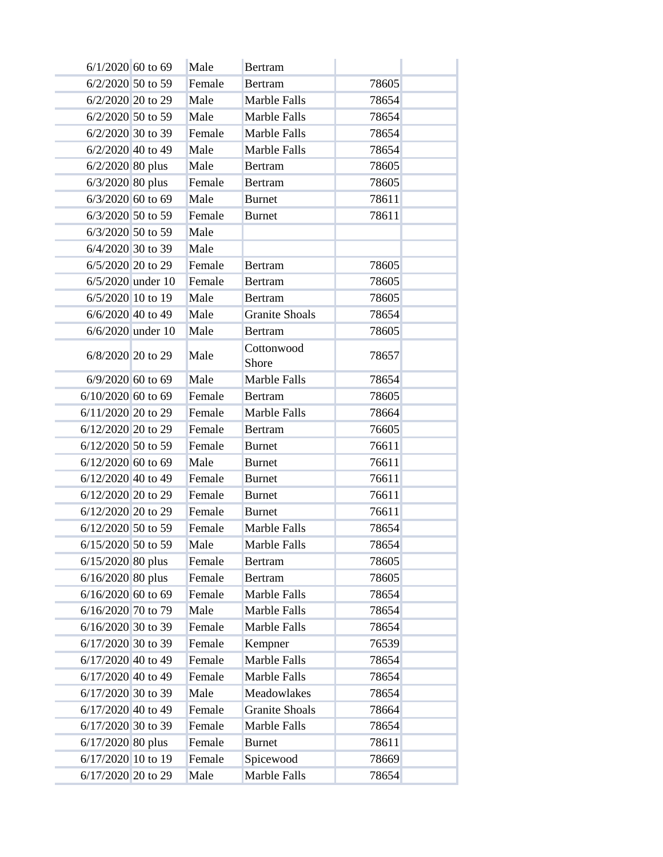| $6/1/2020$ 60 to 69 |                   | Male   | <b>Bertram</b>        |       |  |
|---------------------|-------------------|--------|-----------------------|-------|--|
| 6/2/2020 50 to 59   |                   | Female | <b>Bertram</b>        | 78605 |  |
| 6/2/2020 20 to 29   |                   | Male   | Marble Falls          | 78654 |  |
| 6/2/2020 50 to 59   |                   | Male   | Marble Falls          | 78654 |  |
| 6/2/2020 30 to 39   |                   | Female | Marble Falls          | 78654 |  |
| 6/2/2020 40 to 49   |                   | Male   | Marble Falls          | 78654 |  |
| $6/2/2020$ 80 plus  |                   | Male   | <b>Bertram</b>        | 78605 |  |
| $6/3/2020$ 80 plus  |                   | Female | <b>Bertram</b>        | 78605 |  |
| $6/3/2020$ 60 to 69 |                   | Male   | <b>Burnet</b>         | 78611 |  |
| 6/3/2020 50 to 59   |                   | Female | <b>Burnet</b>         | 78611 |  |
| 6/3/2020 50 to 59   |                   | Male   |                       |       |  |
| 6/4/2020 30 to 39   |                   | Male   |                       |       |  |
| 6/5/2020 20 to 29   |                   | Female | <b>Bertram</b>        | 78605 |  |
|                     | 6/5/2020 under 10 | Female | <b>Bertram</b>        | 78605 |  |
| 6/5/2020 10 to 19   |                   | Male   | <b>Bertram</b>        | 78605 |  |
| 6/6/2020 40 to 49   |                   | Male   | <b>Granite Shoals</b> | 78654 |  |
|                     | 6/6/2020 under 10 | Male   | Bertram               | 78605 |  |
| 6/8/2020 20 to 29   |                   | Male   | Cottonwood            | 78657 |  |
|                     |                   |        | Shore                 |       |  |
| 6/9/2020 60 to 69   |                   | Male   | Marble Falls          | 78654 |  |
| 6/10/2020 60 to 69  |                   | Female | <b>Bertram</b>        | 78605 |  |
| 6/11/2020 20 to 29  |                   | Female | Marble Falls          | 78664 |  |
| 6/12/2020 20 to 29  |                   | Female | <b>Bertram</b>        | 76605 |  |
| 6/12/2020 50 to 59  |                   | Female | <b>Burnet</b>         | 76611 |  |
| 6/12/2020 60 to 69  |                   | Male   | <b>Burnet</b>         | 76611 |  |
| 6/12/2020 40 to 49  |                   | Female | <b>Burnet</b>         | 76611 |  |
| 6/12/2020 20 to 29  |                   | Female | <b>Burnet</b>         | 76611 |  |
| 6/12/2020 20 to 29  |                   | Female | <b>Burnet</b>         | 76611 |  |
| 6/12/2020 50 to 59  |                   | Female | Marble Falls          | 78654 |  |
| 6/15/2020 50 to 59  |                   | Male   | Marble Falls          | 78654 |  |
| $6/15/2020$ 80 plus |                   | Female | <b>Bertram</b>        | 78605 |  |
| $6/16/2020$ 80 plus |                   | Female | <b>Bertram</b>        | 78605 |  |
| 6/16/2020 60 to 69  |                   | Female | Marble Falls          | 78654 |  |
| 6/16/2020 70 to 79  |                   | Male   | Marble Falls          | 78654 |  |
| 6/16/2020 30 to 39  |                   | Female | Marble Falls          | 78654 |  |
| 6/17/2020 30 to 39  |                   | Female | Kempner               | 76539 |  |
| 6/17/2020 40 to 49  |                   | Female | Marble Falls          | 78654 |  |
| 6/17/2020 40 to 49  |                   | Female | Marble Falls          | 78654 |  |
| 6/17/2020 30 to 39  |                   | Male   | Meadowlakes           | 78654 |  |
| 6/17/2020 40 to 49  |                   | Female | <b>Granite Shoals</b> | 78664 |  |
| 6/17/2020 30 to 39  |                   | Female | Marble Falls          | 78654 |  |
| $6/17/2020$ 80 plus |                   | Female | <b>Burnet</b>         | 78611 |  |
| 6/17/2020 10 to 19  |                   | Female | Spicewood             | 78669 |  |
| 6/17/2020 20 to 29  |                   | Male   | Marble Falls          | 78654 |  |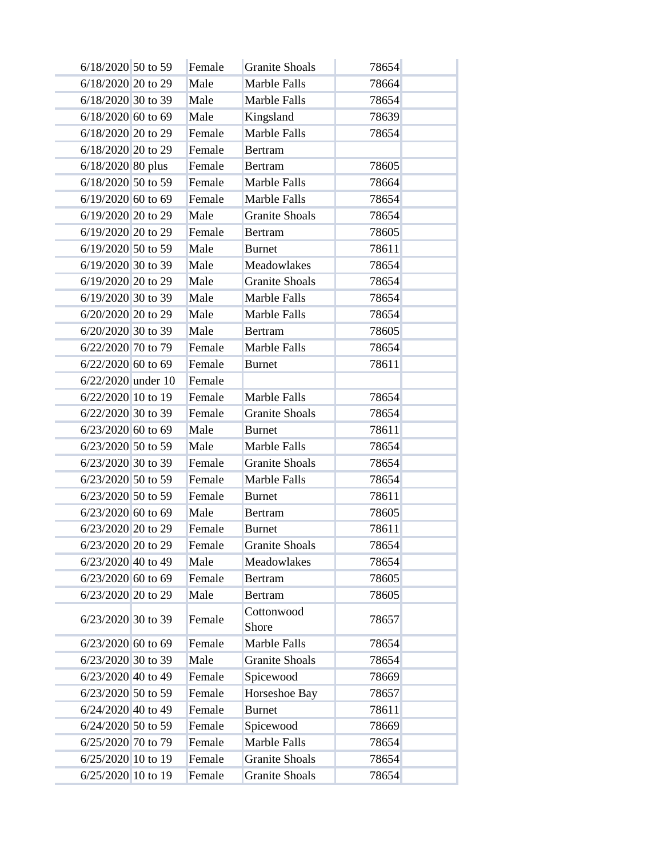| 6/18/2020 50 to 59   | Female | <b>Granite Shoals</b> | 78654 |  |
|----------------------|--------|-----------------------|-------|--|
| 6/18/2020 20 to 29   | Male   | Marble Falls          | 78664 |  |
| 6/18/2020 30 to 39   | Male   | Marble Falls          | 78654 |  |
| 6/18/2020 60 to 69   | Male   | Kingsland             | 78639 |  |
| 6/18/2020 20 to 29   | Female | Marble Falls          | 78654 |  |
| 6/18/2020 20 to 29   | Female | <b>Bertram</b>        |       |  |
| $6/18/2020$ 80 plus  | Female | <b>Bertram</b>        | 78605 |  |
| 6/18/2020 50 to 59   | Female | Marble Falls          | 78664 |  |
| 6/19/2020 60 to 69   | Female | Marble Falls          | 78654 |  |
| 6/19/2020 20 to 29   | Male   | <b>Granite Shoals</b> | 78654 |  |
| 6/19/2020 20 to 29   | Female | <b>Bertram</b>        | 78605 |  |
| 6/19/2020 50 to 59   | Male   | <b>Burnet</b>         | 78611 |  |
| 6/19/2020 30 to 39   | Male   | Meadowlakes           | 78654 |  |
| 6/19/2020 20 to 29   | Male   | <b>Granite Shoals</b> | 78654 |  |
| 6/19/2020 30 to 39   | Male   | Marble Falls          | 78654 |  |
| 6/20/2020 20 to 29   | Male   | Marble Falls          | 78654 |  |
| 6/20/2020 30 to 39   | Male   | <b>Bertram</b>        | 78605 |  |
| 6/22/2020 70 to 79   | Female | Marble Falls          | 78654 |  |
| 6/22/2020 60 to 69   | Female | <b>Burnet</b>         | 78611 |  |
| 6/22/2020 under 10   | Female |                       |       |  |
| 6/22/2020 10 to 19   | Female | Marble Falls          | 78654 |  |
| 6/22/2020 30 to 39   | Female | <b>Granite Shoals</b> | 78654 |  |
| $6/23/2020$ 60 to 69 | Male   | <b>Burnet</b>         | 78611 |  |
| 6/23/2020 50 to 59   | Male   | Marble Falls          | 78654 |  |
| 6/23/2020 30 to 39   | Female | <b>Granite Shoals</b> | 78654 |  |
| $6/23/2020$ 50 to 59 | Female | Marble Falls          | 78654 |  |
| 6/23/2020 50 to 59   | Female | <b>Burnet</b>         | 78611 |  |
| $6/23/2020$ 60 to 69 | Male   | Bertram               | 78605 |  |
| 6/23/2020 20 to 29   | Female | <b>Burnet</b>         | 78611 |  |
| 6/23/2020 20 to 29   | Female | <b>Granite Shoals</b> | 78654 |  |
| 6/23/2020 40 to 49   | Male   | Meadowlakes           | 78654 |  |
| 6/23/2020 60 to 69   | Female | <b>Bertram</b>        | 78605 |  |
| 6/23/2020 20 to 29   | Male   | <b>Bertram</b>        | 78605 |  |
| 6/23/2020 30 to 39   | Female | Cottonwood<br>Shore   | 78657 |  |
| $6/23/2020$ 60 to 69 | Female | Marble Falls          | 78654 |  |
| 6/23/2020 30 to 39   | Male   | <b>Granite Shoals</b> | 78654 |  |
| 6/23/2020 40 to 49   | Female | Spicewood             | 78669 |  |
| 6/23/2020 50 to 59   | Female | Horseshoe Bay         | 78657 |  |
| $6/24/2020$ 40 to 49 | Female | <b>Burnet</b>         | 78611 |  |
| 6/24/2020 50 to 59   | Female | Spicewood             | 78669 |  |
| 6/25/2020 70 to 79   | Female | Marble Falls          | 78654 |  |
| 6/25/2020 10 to 19   | Female | <b>Granite Shoals</b> | 78654 |  |
| 6/25/2020 10 to 19   | Female | <b>Granite Shoals</b> | 78654 |  |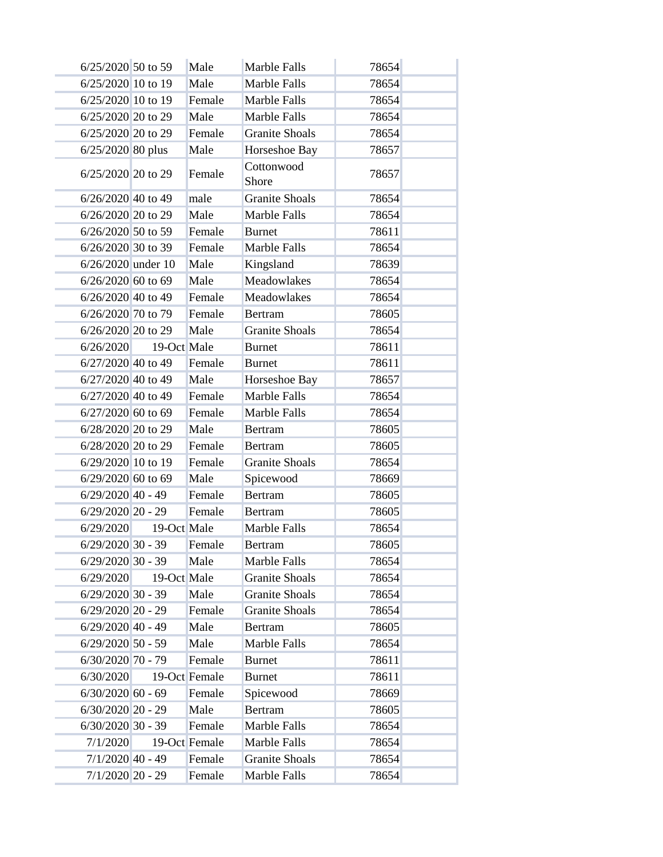| 6/25/2020 50 to 59   |             | Male          | <b>Marble Falls</b>   | 78654 |  |
|----------------------|-------------|---------------|-----------------------|-------|--|
| 6/25/2020 10 to 19   |             | Male          | Marble Falls          | 78654 |  |
| 6/25/2020 10 to 19   |             | Female        | Marble Falls          | 78654 |  |
| 6/25/2020 20 to 29   |             | Male          | Marble Falls          | 78654 |  |
| 6/25/2020 20 to 29   |             | Female        | <b>Granite Shoals</b> | 78654 |  |
| 6/25/2020 80 plus    |             | Male          | Horseshoe Bay         | 78657 |  |
| 6/25/2020 20 to 29   |             | Female        | Cottonwood<br>Shore   | 78657 |  |
| 6/26/2020 40 to 49   |             | male          | <b>Granite Shoals</b> | 78654 |  |
| 6/26/2020 20 to 29   |             | Male          | Marble Falls          | 78654 |  |
| 6/26/2020 50 to 59   |             | Female        | <b>Burnet</b>         | 78611 |  |
| 6/26/2020 30 to 39   |             | Female        | Marble Falls          | 78654 |  |
| 6/26/2020 under 10   |             | Male          | Kingsland             | 78639 |  |
| $6/26/2020$ 60 to 69 |             | Male          | Meadowlakes           | 78654 |  |
| $6/26/2020$ 40 to 49 |             | Female        | Meadowlakes           | 78654 |  |
| 6/26/2020 70 to 79   |             | Female        | <b>Bertram</b>        | 78605 |  |
| 6/26/2020 20 to 29   |             | Male          | <b>Granite Shoals</b> | 78654 |  |
| 6/26/2020            | 19-Oct Male |               | <b>Burnet</b>         | 78611 |  |
| $6/27/2020$ 40 to 49 |             | Female        | <b>Burnet</b>         | 78611 |  |
| 6/27/2020 40 to 49   |             | Male          | Horseshoe Bay         | 78657 |  |
| 6/27/2020 40 to 49   |             | Female        | Marble Falls          | 78654 |  |
| 6/27/2020 60 to 69   |             | Female        | Marble Falls          | 78654 |  |
| 6/28/2020 20 to 29   |             | Male          | <b>Bertram</b>        | 78605 |  |
| 6/28/2020 20 to 29   |             | Female        | <b>Bertram</b>        | 78605 |  |
| 6/29/2020 10 to 19   |             | Female        | <b>Granite Shoals</b> | 78654 |  |
| $6/29/2020$ 60 to 69 |             | Male          | Spicewood             | 78669 |  |
| $6/29/2020$ 40 - 49  |             | Female        | <b>Bertram</b>        | 78605 |  |
| $6/29/2020$ 20 - 29  |             | Female        | <b>Bertram</b>        | 78605 |  |
| 6/29/2020            | 19-Oct Male |               | <b>Marble Falls</b>   | 78654 |  |
| $6/29/2020$ 30 - 39  |             | Female        | <b>Bertram</b>        | 78605 |  |
| $6/29/2020$ 30 - 39  |             | Male          | Marble Falls          | 78654 |  |
| 6/29/2020            | 19-Oct Male |               | <b>Granite Shoals</b> | 78654 |  |
| $6/29/2020$ 30 - 39  |             | Male          | <b>Granite Shoals</b> | 78654 |  |
| $6/29/2020$ 20 - 29  |             | Female        | <b>Granite Shoals</b> | 78654 |  |
| $6/29/2020$ 40 - 49  |             | Male          | <b>Bertram</b>        | 78605 |  |
| $6/29/2020$ 50 - 59  |             | Male          | Marble Falls          | 78654 |  |
| $6/30/2020$ 70 - 79  |             | Female        | <b>Burnet</b>         | 78611 |  |
| 6/30/2020            |             | 19-Oct Female | <b>Burnet</b>         | 78611 |  |
| $6/30/2020$ 60 - 69  |             | Female        | Spicewood             | 78669 |  |
| $6/30/2020$ 20 - 29  |             | Male          | <b>Bertram</b>        | 78605 |  |
| $6/30/2020$ 30 - 39  |             | Female        | Marble Falls          | 78654 |  |
| 7/1/2020             |             | 19-Oct Female | Marble Falls          | 78654 |  |
| $7/1/2020$ 40 - 49   |             | Female        | <b>Granite Shoals</b> | 78654 |  |
| $7/1/2020$ 20 - 29   |             | Female        | Marble Falls          | 78654 |  |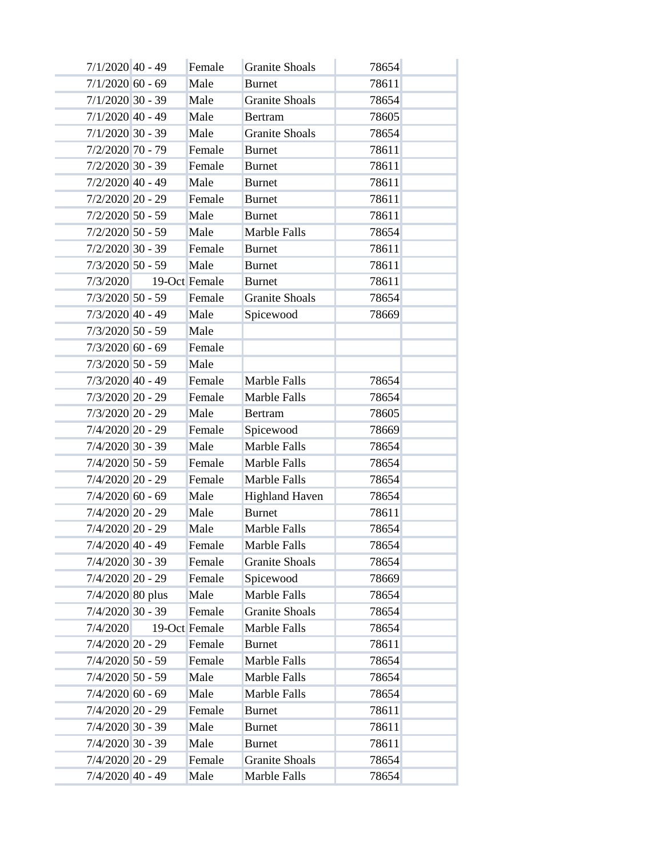| $7/1/2020$ 40 - 49 | Female        | <b>Granite Shoals</b> | 78654 |  |
|--------------------|---------------|-----------------------|-------|--|
| $7/1/2020$ 60 - 69 | Male          | <b>Burnet</b>         | 78611 |  |
| $7/1/2020$ 30 - 39 | Male          | <b>Granite Shoals</b> | 78654 |  |
| $7/1/2020$ 40 - 49 | Male          | <b>Bertram</b>        | 78605 |  |
| $7/1/2020$ 30 - 39 | Male          | <b>Granite Shoals</b> | 78654 |  |
| 7/2/2020 70 - 79   | Female        | <b>Burnet</b>         | 78611 |  |
| $7/2/2020$ 30 - 39 | Female        | <b>Burnet</b>         | 78611 |  |
| $7/2/2020$ 40 - 49 | Male          | <b>Burnet</b>         | 78611 |  |
| $7/2/2020$ 20 - 29 | Female        | <b>Burnet</b>         | 78611 |  |
| $7/2/2020$ 50 - 59 | Male          | <b>Burnet</b>         | 78611 |  |
| $7/2/2020$ 50 - 59 | Male          | Marble Falls          | 78654 |  |
| $7/2/2020$ 30 - 39 | Female        | <b>Burnet</b>         | 78611 |  |
| $7/3/2020$ 50 - 59 | Male          | <b>Burnet</b>         | 78611 |  |
| 7/3/2020           | 19-Oct Female | <b>Burnet</b>         | 78611 |  |
| $7/3/2020$ 50 - 59 | Female        | <b>Granite Shoals</b> | 78654 |  |
| $7/3/2020$ 40 - 49 | Male          | Spicewood             | 78669 |  |
| $7/3/2020$ 50 - 59 | Male          |                       |       |  |
| $7/3/2020$ 60 - 69 | Female        |                       |       |  |
| $7/3/2020$ 50 - 59 | Male          |                       |       |  |
| $7/3/2020$ 40 - 49 | Female        | Marble Falls          | 78654 |  |
| 7/3/2020 20 - 29   | Female        | Marble Falls          | 78654 |  |
| 7/3/2020 20 - 29   | Male          | <b>Bertram</b>        | 78605 |  |
| 7/4/2020 20 - 29   | Female        | Spicewood             | 78669 |  |
| $7/4/2020$ 30 - 39 | Male          | Marble Falls          | 78654 |  |
| $7/4/2020$ 50 - 59 | Female        | Marble Falls          | 78654 |  |
| $7/4/2020$ 20 - 29 | Female        | Marble Falls          | 78654 |  |
| $7/4/2020$ 60 - 69 | Male          | <b>Highland Haven</b> | 78654 |  |
| $7/4/2020$ 20 - 29 | Male          | <b>Burnet</b>         | 78611 |  |
| 7/4/2020 20 - 29   | Male          | Marble Falls          | 78654 |  |
| 7/4/2020 40 - 49   | Female        | Marble Falls          | 78654 |  |
| 7/4/2020 30 - 39   | Female        | <b>Granite Shoals</b> | 78654 |  |
| 7/4/2020 20 - 29   | Female        | Spicewood             | 78669 |  |
| 7/4/2020 80 plus   | Male          | Marble Falls          | 78654 |  |
| $7/4/2020$ 30 - 39 | Female        | <b>Granite Shoals</b> | 78654 |  |
| 7/4/2020           | 19-Oct Female | Marble Falls          | 78654 |  |
| 7/4/2020 20 - 29   | Female        | <b>Burnet</b>         | 78611 |  |
| $7/4/2020$ 50 - 59 | Female        | Marble Falls          | 78654 |  |
| $7/4/2020$ 50 - 59 | Male          | Marble Falls          | 78654 |  |
| $7/4/2020$ 60 - 69 | Male          | Marble Falls          | 78654 |  |
| 7/4/2020 20 - 29   | Female        | <b>Burnet</b>         | 78611 |  |
| $7/4/2020$ 30 - 39 | Male          | <b>Burnet</b>         | 78611 |  |
| $7/4/2020$ 30 - 39 | Male          | <b>Burnet</b>         | 78611 |  |
| $7/4/2020$ 20 - 29 | Female        | <b>Granite Shoals</b> | 78654 |  |
| $7/4/2020$ 40 - 49 | Male          | Marble Falls          | 78654 |  |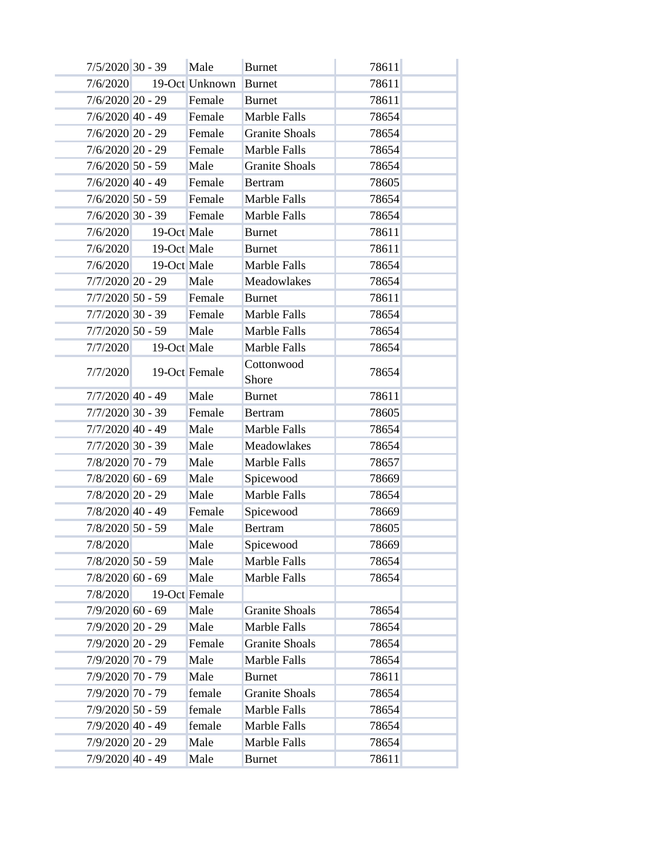|                    | 7/5/2020 30 - 39     | Male           | <b>Burnet</b>         | 78611 |  |
|--------------------|----------------------|----------------|-----------------------|-------|--|
| 7/6/2020           |                      | 19-Oct Unknown | <b>Burnet</b>         | 78611 |  |
| $7/6/2020$ 20 - 29 |                      | Female         | <b>Burnet</b>         | 78611 |  |
| $7/6/2020$ 40 - 49 |                      | Female         | Marble Falls          | 78654 |  |
| $7/6/2020$ 20 - 29 |                      | Female         | <b>Granite Shoals</b> | 78654 |  |
| $7/6/2020$ 20 - 29 |                      | Female         | Marble Falls          | 78654 |  |
| $7/6/2020$ 50 - 59 |                      | Male           | <b>Granite Shoals</b> | 78654 |  |
| $7/6/2020$ 40 - 49 |                      | Female         | <b>Bertram</b>        | 78605 |  |
| $7/6/2020$ 50 - 59 |                      | Female         | Marble Falls          | 78654 |  |
| $7/6/2020$ 30 - 39 |                      | Female         | Marble Falls          | 78654 |  |
| 7/6/2020           | 19-Oct Male          |                | <b>Burnet</b>         | 78611 |  |
|                    | 7/6/2020 19-Oct Male |                | <b>Burnet</b>         | 78611 |  |
| 7/6/2020           | 19-Oct Male          |                | Marble Falls          | 78654 |  |
| $7/7/2020$ 20 - 29 |                      | Male           | Meadowlakes           | 78654 |  |
| $7/7/2020$ 50 - 59 |                      | Female         | <b>Burnet</b>         | 78611 |  |
| $7/7/2020$ 30 - 39 |                      | Female         | Marble Falls          | 78654 |  |
| $7/7/2020$ 50 - 59 |                      | Male           | Marble Falls          | 78654 |  |
| 7/7/2020           | 19-Oct Male          |                | Marble Falls          | 78654 |  |
| 7/7/2020           |                      | 19-Oct Female  | Cottonwood<br>Shore   | 78654 |  |
| $7/7/2020$ 40 - 49 |                      | Male           | <b>Burnet</b>         | 78611 |  |
| $7/7/2020$ 30 - 39 |                      | Female         | <b>Bertram</b>        | 78605 |  |
| $7/7/2020$ 40 - 49 |                      | Male           | Marble Falls          | 78654 |  |
| $7/7/2020$ 30 - 39 |                      | Male           | Meadowlakes           | 78654 |  |
| 7/8/2020 70 - 79   |                      | Male           | Marble Falls          | 78657 |  |
| $7/8/2020$ 60 - 69 |                      | Male           | Spicewood             | 78669 |  |
| 7/8/2020 20 - 29   |                      | Male           | Marble Falls          | 78654 |  |
| $7/8/2020$ 40 - 49 |                      | Female         | Spicewood             | 78669 |  |
| $7/8/2020$ 50 - 59 |                      | Male           | <b>Bertram</b>        | 78605 |  |
| 7/8/2020           |                      | Male           | Spicewood             | 78669 |  |
| 7/8/2020 50 - 59   |                      | Male           | Marble Falls          | 78654 |  |
| $7/8/2020$ 60 - 69 |                      | Male           | Marble Falls          | 78654 |  |
| 7/8/2020           |                      | 19-Oct Female  |                       |       |  |
| $7/9/2020$ 60 - 69 |                      | Male           | <b>Granite Shoals</b> | 78654 |  |
| 7/9/2020 20 - 29   |                      | Male           | Marble Falls          | 78654 |  |
| 7/9/2020 20 - 29   |                      | Female         | <b>Granite Shoals</b> | 78654 |  |
| 7/9/2020 70 - 79   |                      | Male           | Marble Falls          | 78654 |  |
| 7/9/2020 70 - 79   |                      | Male           | <b>Burnet</b>         | 78611 |  |
| 7/9/2020 70 - 79   |                      | female         | <b>Granite Shoals</b> | 78654 |  |
| $7/9/2020$ 50 - 59 |                      | female         | Marble Falls          | 78654 |  |
| 7/9/2020 40 - 49   |                      | female         | Marble Falls          | 78654 |  |
| 7/9/2020 20 - 29   |                      | Male           | Marble Falls          | 78654 |  |
| 7/9/2020 40 - 49   |                      | Male           | <b>Burnet</b>         | 78611 |  |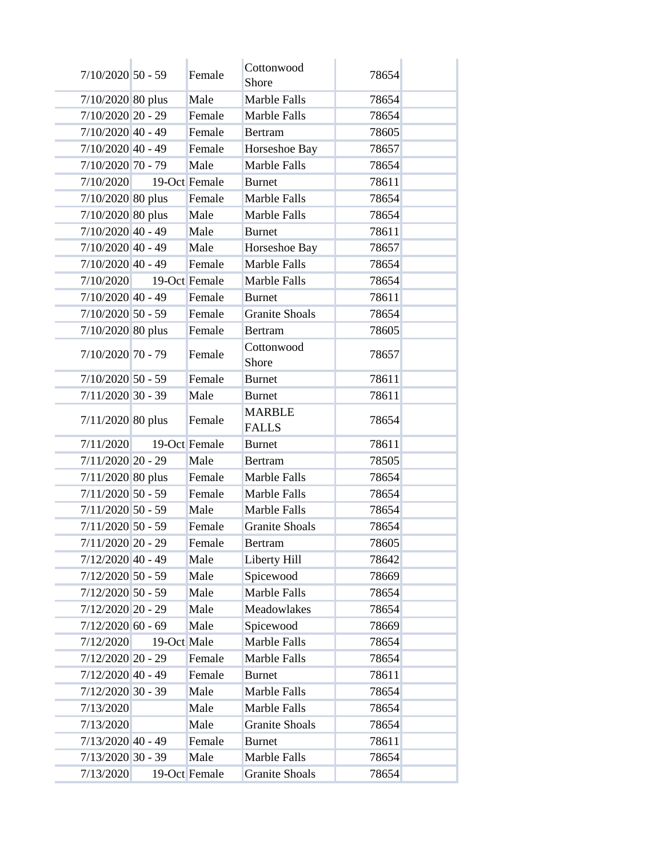| $7/10/2020$ 50 - 59 |             | Female        | Cottonwood<br>Shore           | 78654 |  |
|---------------------|-------------|---------------|-------------------------------|-------|--|
| 7/10/2020 80 plus   |             | Male          | Marble Falls                  | 78654 |  |
| 7/10/2020 20 - 29   |             | Female        | Marble Falls                  | 78654 |  |
| $7/10/2020$ 40 - 49 |             | Female        | <b>Bertram</b>                | 78605 |  |
| $7/10/2020$ 40 - 49 |             | Female        | Horseshoe Bay                 | 78657 |  |
| 7/10/2020 70 - 79   |             | Male          | Marble Falls                  | 78654 |  |
| 7/10/2020           |             | 19-Oct Female | <b>Burnet</b>                 | 78611 |  |
| 7/10/2020 80 plus   |             | Female        | Marble Falls                  | 78654 |  |
| 7/10/2020 80 plus   |             | Male          | Marble Falls                  | 78654 |  |
| $7/10/2020$ 40 - 49 |             | Male          | <b>Burnet</b>                 | 78611 |  |
| $7/10/2020$ 40 - 49 |             | Male          | Horseshoe Bay                 | 78657 |  |
| $7/10/2020$ 40 - 49 |             | Female        | <b>Marble Falls</b>           | 78654 |  |
| 7/10/2020           |             | 19-Oct Female | Marble Falls                  | 78654 |  |
| $7/10/2020$ 40 - 49 |             | Female        | <b>Burnet</b>                 | 78611 |  |
| $7/10/2020$ 50 - 59 |             | Female        | <b>Granite Shoals</b>         | 78654 |  |
| 7/10/2020 80 plus   |             | Female        | <b>Bertram</b>                | 78605 |  |
| 7/10/2020 70 - 79   |             | Female        | Cottonwood<br>Shore           | 78657 |  |
| $7/10/2020$ 50 - 59 |             | Female        | <b>Burnet</b>                 | 78611 |  |
| $7/11/2020$ 30 - 39 |             | Male          | <b>Burnet</b>                 | 78611 |  |
| 7/11/2020 80 plus   |             | Female        | <b>MARBLE</b><br><b>FALLS</b> | 78654 |  |
| 7/11/2020           |             | 19-Oct Female | <b>Burnet</b>                 | 78611 |  |
| $7/11/2020$ 20 - 29 |             | Male          | <b>Bertram</b>                | 78505 |  |
| $7/11/2020$ 80 plus |             | Female        | Marble Falls                  | 78654 |  |
| $7/11/2020$ 50 - 59 |             | Female        | Marble Falls                  | 78654 |  |
| $7/11/2020$ 50 - 59 |             | Male          | Marble Falls                  | 78654 |  |
| $7/11/2020$ 50 - 59 |             | Female        | <b>Granite Shoals</b>         | 78654 |  |
| 7/11/2020 20 - 29   |             | Female        | Bertram                       | 78605 |  |
| $7/12/2020$ 40 - 49 |             | Male          | Liberty Hill                  | 78642 |  |
| $7/12/2020$ 50 - 59 |             | Male          | Spicewood                     | 78669 |  |
| $7/12/2020$ 50 - 59 |             | Male          | Marble Falls                  | 78654 |  |
| $7/12/2020$ 20 - 29 |             | Male          | Meadowlakes                   | 78654 |  |
| $7/12/2020$ 60 - 69 |             | Male          | Spicewood                     | 78669 |  |
| 7/12/2020           | 19-Oct Male |               | Marble Falls                  | 78654 |  |
| $7/12/2020$ 20 - 29 |             | Female        | Marble Falls                  | 78654 |  |
| $7/12/2020$ 40 - 49 |             | Female        | <b>Burnet</b>                 | 78611 |  |
| $7/12/2020$ 30 - 39 |             | Male          | Marble Falls                  | 78654 |  |
| 7/13/2020           |             | Male          | Marble Falls                  | 78654 |  |
| 7/13/2020           |             | Male          | <b>Granite Shoals</b>         | 78654 |  |
| $7/13/2020$ 40 - 49 |             | Female        | <b>Burnet</b>                 | 78611 |  |
| $7/13/2020$ 30 - 39 |             | Male          | Marble Falls                  | 78654 |  |
| 7/13/2020           |             | 19-Oct Female | <b>Granite Shoals</b>         | 78654 |  |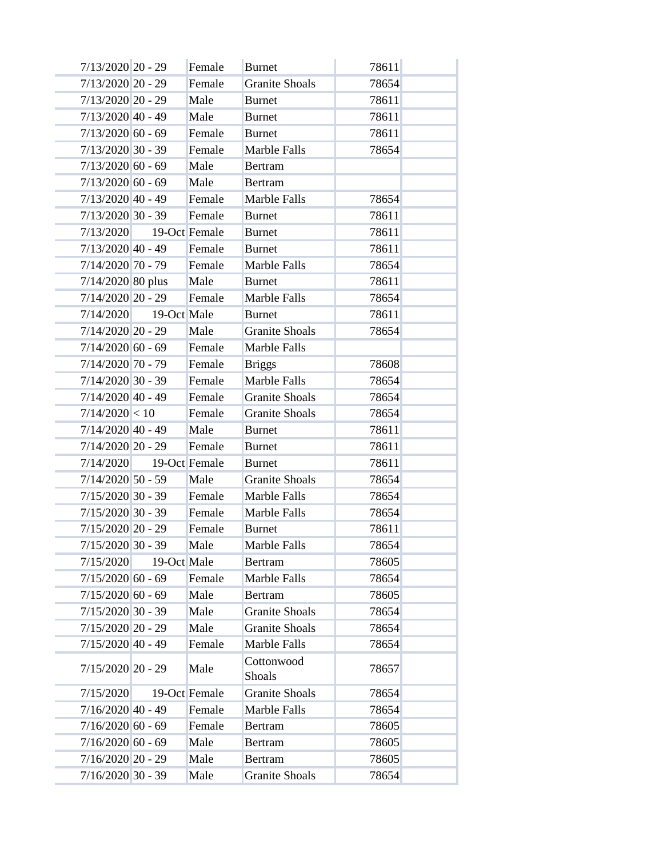| $7/13/2020$ 20 - 29 |                         | Female        | <b>Burnet</b>         | 78611 |  |
|---------------------|-------------------------|---------------|-----------------------|-------|--|
| $7/13/2020$ 20 - 29 |                         | Female        | <b>Granite Shoals</b> | 78654 |  |
| 7/13/2020 20 - 29   |                         | Male          | <b>Burnet</b>         | 78611 |  |
| $7/13/2020$ 40 - 49 |                         | Male          | <b>Burnet</b>         | 78611 |  |
| $7/13/2020$ 60 - 69 |                         | Female        | <b>Burnet</b>         | 78611 |  |
| $7/13/2020$ 30 - 39 |                         | Female        | Marble Falls          | 78654 |  |
| $7/13/2020$ 60 - 69 |                         | Male          | <b>Bertram</b>        |       |  |
| $7/13/2020$ 60 - 69 |                         | Male          | <b>Bertram</b>        |       |  |
| $7/13/2020$ 40 - 49 |                         | Female        | Marble Falls          | 78654 |  |
| $7/13/2020$ 30 - 39 |                         | Female        | <b>Burnet</b>         | 78611 |  |
|                     | 7/13/2020 19-Oct Female |               | <b>Burnet</b>         | 78611 |  |
| $7/13/2020$ 40 - 49 |                         | Female        | <b>Burnet</b>         | 78611 |  |
| $7/14/2020$ 70 - 79 |                         | Female        | Marble Falls          | 78654 |  |
| 7/14/2020 80 plus   |                         | Male          | <b>Burnet</b>         | 78611 |  |
| $7/14/2020$ 20 - 29 |                         | Female        | Marble Falls          | 78654 |  |
|                     | 7/14/2020 19-Oct Male   |               | <b>Burnet</b>         | 78611 |  |
| $7/14/2020$ 20 - 29 |                         | Male          | <b>Granite Shoals</b> | 78654 |  |
| $7/14/2020$ 60 - 69 |                         | Female        | Marble Falls          |       |  |
| $7/14/2020$ 70 - 79 |                         | Female        | <b>Briggs</b>         | 78608 |  |
| $7/14/2020$ 30 - 39 |                         | Female        | Marble Falls          | 78654 |  |
| $7/14/2020$ 40 - 49 |                         | Female        | <b>Granite Shoals</b> | 78654 |  |
| 7/14/2020 < 10      |                         | Female        | <b>Granite Shoals</b> | 78654 |  |
| $7/14/2020$ 40 - 49 |                         | Male          | <b>Burnet</b>         | 78611 |  |
| $7/14/2020$ 20 - 29 |                         | Female        | <b>Burnet</b>         | 78611 |  |
|                     | 7/14/2020 19-Oct Female |               | <b>Burnet</b>         | 78611 |  |
| $7/14/2020$ 50 - 59 |                         | Male          | <b>Granite Shoals</b> | 78654 |  |
| $7/15/2020$ 30 - 39 |                         | Female        | Marble Falls          | 78654 |  |
| $7/15/2020$ 30 - 39 |                         | Female        | Marble Falls          | 78654 |  |
| $7/15/2020$ 20 - 29 |                         | Female        | <b>Burnet</b>         | 78611 |  |
| 7/15/2020 30 - 39   |                         | Male          | Marble Falls          | 78654 |  |
| 7/15/2020           | 19-Oct Male             |               | <b>Bertram</b>        | 78605 |  |
| $7/15/2020$ 60 - 69 |                         | Female        | Marble Falls          | 78654 |  |
| $7/15/2020$ 60 - 69 |                         | Male          | <b>Bertram</b>        | 78605 |  |
| $7/15/2020$ 30 - 39 |                         | Male          | <b>Granite Shoals</b> | 78654 |  |
| $7/15/2020$ 20 - 29 |                         | Male          | <b>Granite Shoals</b> | 78654 |  |
| $7/15/2020$ 40 - 49 |                         | Female        | Marble Falls          | 78654 |  |
| $7/15/2020$ 20 - 29 |                         | Male          | Cottonwood<br>Shoals  | 78657 |  |
| 7/15/2020           |                         | 19-Oct Female | <b>Granite Shoals</b> | 78654 |  |
| $7/16/2020$ 40 - 49 |                         | Female        | Marble Falls          | 78654 |  |
| $7/16/2020$ 60 - 69 |                         | Female        | Bertram               | 78605 |  |
| $7/16/2020$ 60 - 69 |                         | Male          | Bertram               | 78605 |  |
| $7/16/2020$ 20 - 29 |                         | Male          | <b>Bertram</b>        | 78605 |  |
| $7/16/2020$ 30 - 39 |                         | Male          | <b>Granite Shoals</b> | 78654 |  |